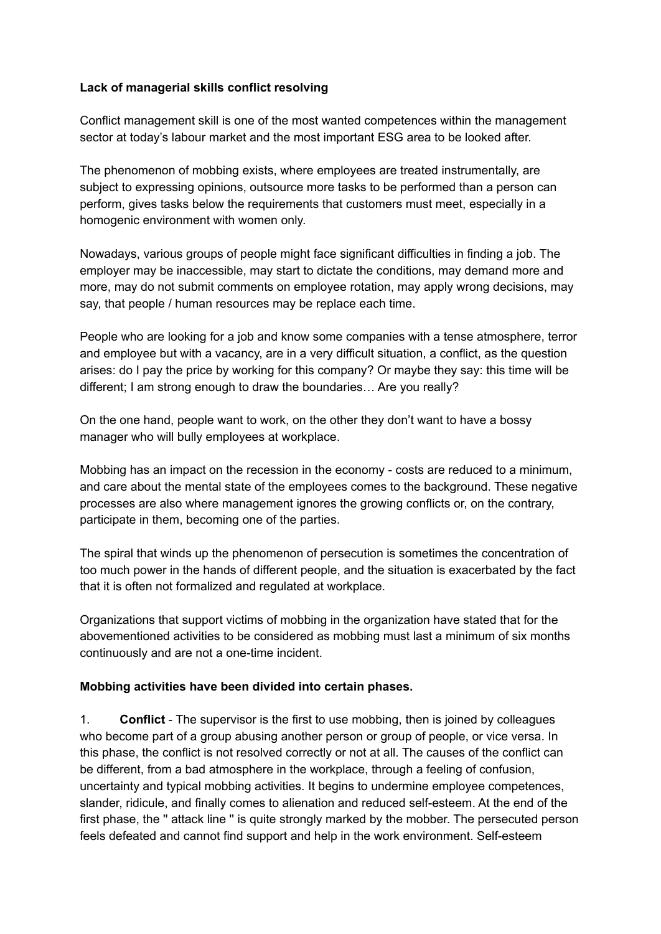### **Lack of managerial skills conflict resolving**

Conflict management skill is one of the most wanted competences within the management sector at today's labour market and the most important ESG area to be looked after.

The phenomenon of mobbing exists, where employees are treated instrumentally, are subject to expressing opinions, outsource more tasks to be performed than a person can perform, gives tasks below the requirements that customers must meet, especially in a homogenic environment with women only.

Nowadays, various groups of people might face significant difficulties in finding a job. The employer may be inaccessible, may start to dictate the conditions, may demand more and more, may do not submit comments on employee rotation, may apply wrong decisions, may say, that people / human resources may be replace each time.

People who are looking for a job and know some companies with a tense atmosphere, terror and employee but with a vacancy, are in a very difficult situation, a conflict, as the question arises: do I pay the price by working for this company? Or maybe they say: this time will be different; I am strong enough to draw the boundaries… Are you really?

On the one hand, people want to work, on the other they don't want to have a bossy manager who will bully employees at workplace.

Mobbing has an impact on the recession in the economy - costs are reduced to a minimum, and care about the mental state of the employees comes to the background. These negative processes are also where management ignores the growing conflicts or, on the contrary, participate in them, becoming one of the parties.

The spiral that winds up the phenomenon of persecution is sometimes the concentration of too much power in the hands of different people, and the situation is exacerbated by the fact that it is often not formalized and regulated at workplace.

Organizations that support victims of mobbing in the organization have stated that for the abovementioned activities to be considered as mobbing must last a minimum of six months continuously and are not a one-time incident.

### **Mobbing activities have been divided into certain phases.**

1. **Conflict** - The supervisor is the first to use mobbing, then is joined by colleagues who become part of a group abusing another person or group of people, or vice versa. In this phase, the conflict is not resolved correctly or not at all. The causes of the conflict can be different, from a bad atmosphere in the workplace, through a feeling of confusion, uncertainty and typical mobbing activities. It begins to undermine employee competences, slander, ridicule, and finally comes to alienation and reduced self-esteem. At the end of the first phase, the '' attack line '' is quite strongly marked by the mobber. The persecuted person feels defeated and cannot find support and help in the work environment. Self-esteem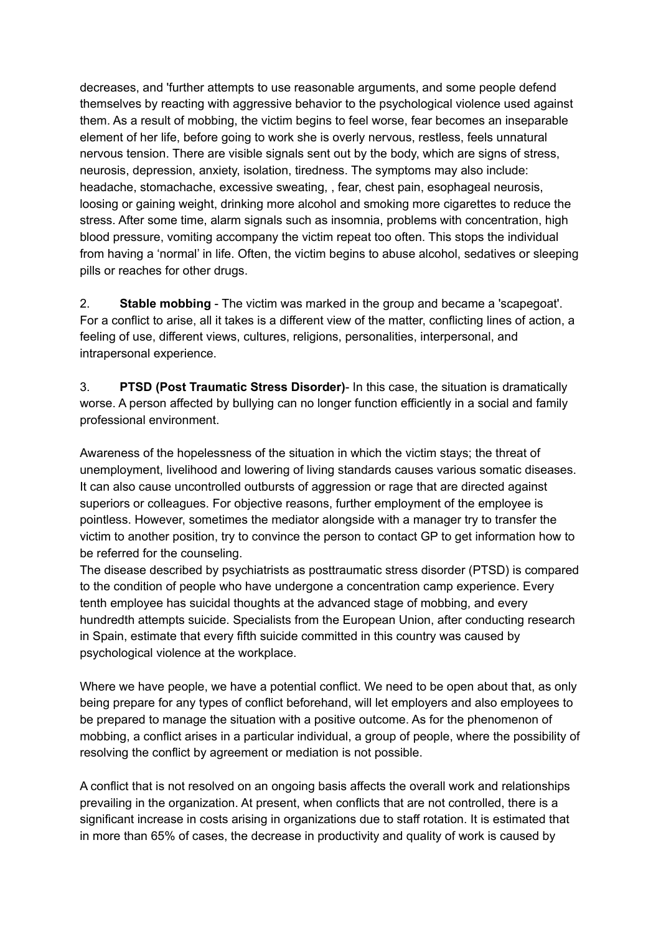decreases, and 'further attempts to use reasonable arguments, and some people defend themselves by reacting with aggressive behavior to the psychological violence used against them. As a result of mobbing, the victim begins to feel worse, fear becomes an inseparable element of her life, before going to work she is overly nervous, restless, feels unnatural nervous tension. There are visible signals sent out by the body, which are signs of stress, neurosis, depression, anxiety, isolation, tiredness. The symptoms may also include: headache, stomachache, excessive sweating, , fear, chest pain, esophageal neurosis, loosing or gaining weight, drinking more alcohol and smoking more cigarettes to reduce the stress. After some time, alarm signals such as insomnia, problems with concentration, high blood pressure, vomiting accompany the victim repeat too often. This stops the individual from having a 'normal' in life. Often, the victim begins to abuse alcohol, sedatives or sleeping pills or reaches for other drugs.

2. **Stable mobbing** - The victim was marked in the group and became a 'scapegoat'. For a conflict to arise, all it takes is a different view of the matter, conflicting lines of action, a feeling of use, different views, cultures, religions, personalities, interpersonal, and intrapersonal experience.

3. **PTSD (Post Traumatic Stress Disorder)**- In this case, the situation is dramatically worse. A person affected by bullying can no longer function efficiently in a social and family professional environment.

Awareness of the hopelessness of the situation in which the victim stays; the threat of unemployment, livelihood and lowering of living standards causes various somatic diseases. It can also cause uncontrolled outbursts of aggression or rage that are directed against superiors or colleagues. For objective reasons, further employment of the employee is pointless. However, sometimes the mediator alongside with a manager try to transfer the victim to another position, try to convince the person to contact GP to get information how to be referred for the counseling.

The disease described by psychiatrists as posttraumatic stress disorder (PTSD) is compared to the condition of people who have undergone a concentration camp experience. Every tenth employee has suicidal thoughts at the advanced stage of mobbing, and every hundredth attempts suicide. Specialists from the European Union, after conducting research in Spain, estimate that every fifth suicide committed in this country was caused by psychological violence at the workplace.

Where we have people, we have a potential conflict. We need to be open about that, as only being prepare for any types of conflict beforehand, will let employers and also employees to be prepared to manage the situation with a positive outcome. As for the phenomenon of mobbing, a conflict arises in a particular individual, a group of people, where the possibility of resolving the conflict by agreement or mediation is not possible.

A conflict that is not resolved on an ongoing basis affects the overall work and relationships prevailing in the organization. At present, when conflicts that are not controlled, there is a significant increase in costs arising in organizations due to staff rotation. It is estimated that in more than 65% of cases, the decrease in productivity and quality of work is caused by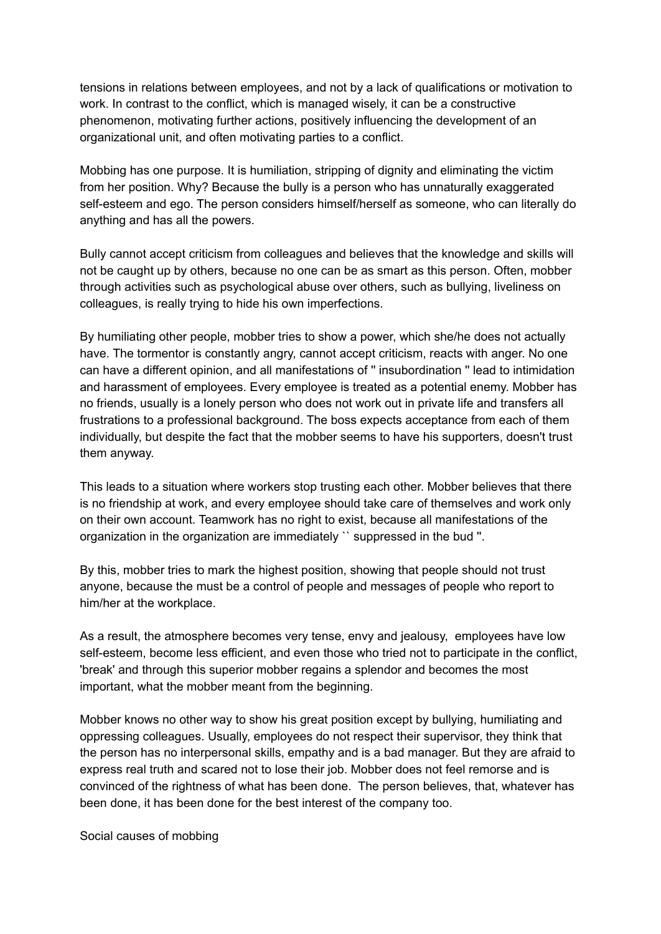tensions in relations between employees, and not by a lack of qualifications or motivation to work. In contrast to the conflict, which is managed wisely, it can be a constructive phenomenon, motivating further actions, positively influencing the development of an organizational unit, and often motivating parties to a conflict.

Mobbing has one purpose. It is humiliation, stripping of dignity and eliminating the victim from her position. Why? Because the bully is a person who has unnaturally exaggerated self-esteem and ego. The person considers himself/herself as someone, who can literally do anything and has all the powers.

Bully cannot accept criticism from colleagues and believes that the knowledge and skills will not be caught up by others, because no one can be as smart as this person. Often, mobber through activities such as psychological abuse over others, such as bullying, liveliness on colleagues, is really trying to hide his own imperfections.

By humiliating other people, mobber tries to show a power, which she/he does not actually have. The tormentor is constantly angry, cannot accept criticism, reacts with anger. No one can have a different opinion, and all manifestations of '' insubordination '' lead to intimidation and harassment of employees. Every employee is treated as a potential enemy. Mobber has no friends, usually is a lonely person who does not work out in private life and transfers all frustrations to a professional background. The boss expects acceptance from each of them individually, but despite the fact that the mobber seems to have his supporters, doesn't trust them anyway.

This leads to a situation where workers stop trusting each other. Mobber believes that there is no friendship at work, and every employee should take care of themselves and work only on their own account. Teamwork has no right to exist, because all manifestations of the organization in the organization are immediately `` suppressed in the bud ''.

By this, mobber tries to mark the highest position, showing that people should not trust anyone, because the must be a control of people and messages of people who report to him/her at the workplace.

As a result, the atmosphere becomes very tense, envy and jealousy, employees have low self-esteem, become less efficient, and even those who tried not to participate in the conflict, 'break' and through this superior mobber regains a splendor and becomes the most important, what the mobber meant from the beginning.

Mobber knows no other way to show his great position except by bullying, humiliating and oppressing colleagues. Usually, employees do not respect their supervisor, they think that the person has no interpersonal skills, empathy and is a bad manager. But they are afraid to express real truth and scared not to lose their job. Mobber does not feel remorse and is convinced of the rightness of what has been done. The person believes, that, whatever has been done, it has been done for the best interest of the company too.

Social causes of mobbing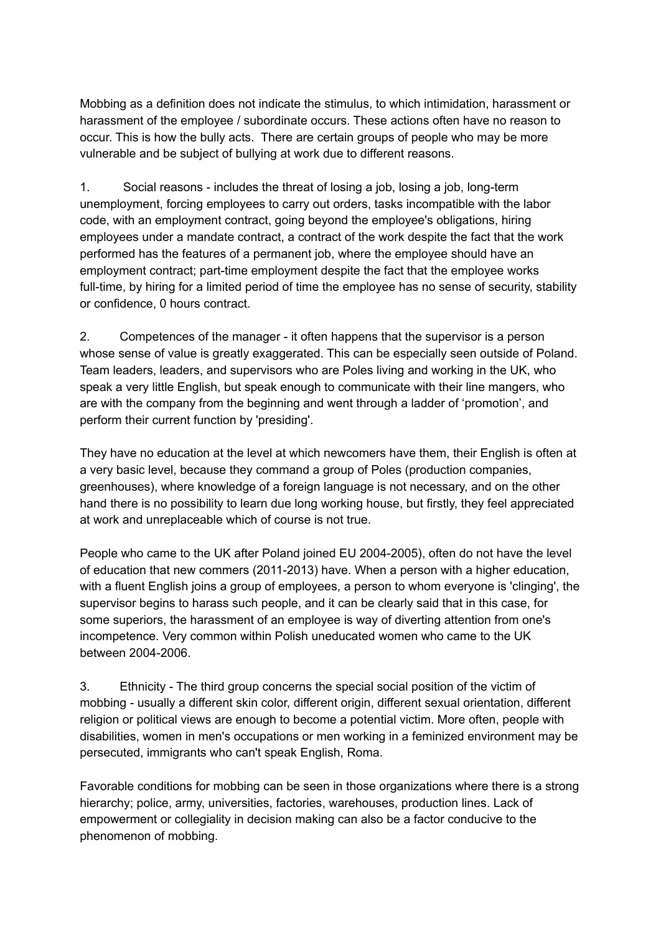Mobbing as a definition does not indicate the stimulus, to which intimidation, harassment or harassment of the employee / subordinate occurs. These actions often have no reason to occur. This is how the bully acts. There are certain groups of people who may be more vulnerable and be subject of bullying at work due to different reasons.

1. Social reasons - includes the threat of losing a job, losing a job, long-term unemployment, forcing employees to carry out orders, tasks incompatible with the labor code, with an employment contract, going beyond the employee's obligations, hiring employees under a mandate contract, a contract of the work despite the fact that the work performed has the features of a permanent job, where the employee should have an employment contract; part-time employment despite the fact that the employee works full-time, by hiring for a limited period of time the employee has no sense of security, stability or confidence, 0 hours contract.

2. Competences of the manager - it often happens that the supervisor is a person whose sense of value is greatly exaggerated. This can be especially seen outside of Poland. Team leaders, leaders, and supervisors who are Poles living and working in the UK, who speak a very little English, but speak enough to communicate with their line mangers, who are with the company from the beginning and went through a ladder of 'promotion', and perform their current function by 'presiding'.

They have no education at the level at which newcomers have them, their English is often at a very basic level, because they command a group of Poles (production companies, greenhouses), where knowledge of a foreign language is not necessary, and on the other hand there is no possibility to learn due long working house, but firstly, they feel appreciated at work and unreplaceable which of course is not true.

People who came to the UK after Poland joined EU 2004-2005), often do not have the level of education that new commers (2011-2013) have. When a person with a higher education, with a fluent English joins a group of employees, a person to whom everyone is 'clinging', the supervisor begins to harass such people, and it can be clearly said that in this case, for some superiors, the harassment of an employee is way of diverting attention from one's incompetence. Very common within Polish uneducated women who came to the UK between 2004-2006.

3. Ethnicity - The third group concerns the special social position of the victim of mobbing - usually a different skin color, different origin, different sexual orientation, different religion or political views are enough to become a potential victim. More often, people with disabilities, women in men's occupations or men working in a feminized environment may be persecuted, immigrants who can't speak English, Roma.

Favorable conditions for mobbing can be seen in those organizations where there is a strong hierarchy; police, army, universities, factories, warehouses, production lines. Lack of empowerment or collegiality in decision making can also be a factor conducive to the phenomenon of mobbing.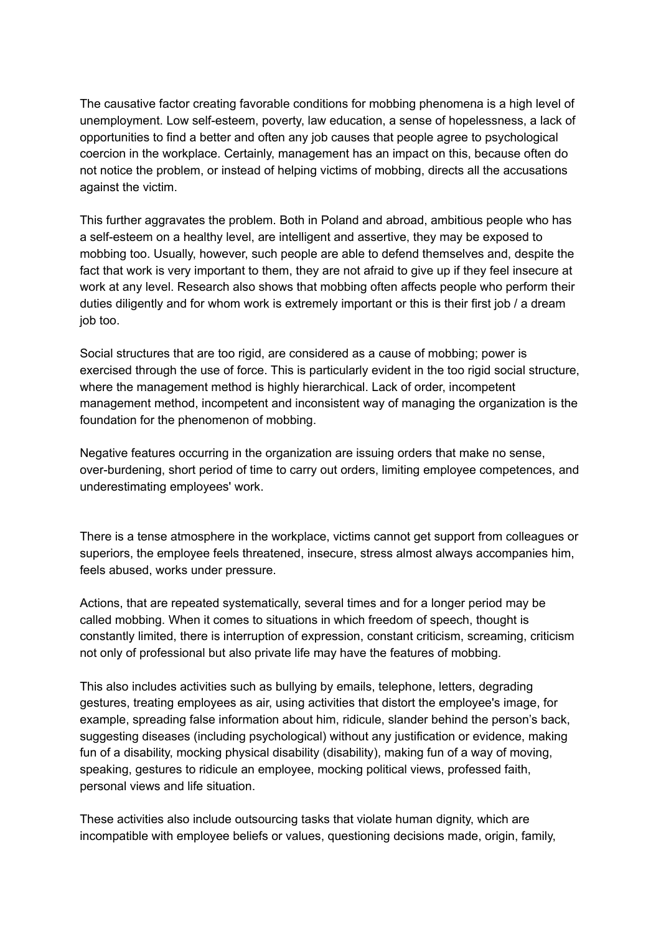The causative factor creating favorable conditions for mobbing phenomena is a high level of unemployment. Low self-esteem, poverty, law education, a sense of hopelessness, a lack of opportunities to find a better and often any job causes that people agree to psychological coercion in the workplace. Certainly, management has an impact on this, because often do not notice the problem, or instead of helping victims of mobbing, directs all the accusations against the victim.

This further aggravates the problem. Both in Poland and abroad, ambitious people who has a self-esteem on a healthy level, are intelligent and assertive, they may be exposed to mobbing too. Usually, however, such people are able to defend themselves and, despite the fact that work is very important to them, they are not afraid to give up if they feel insecure at work at any level. Research also shows that mobbing often affects people who perform their duties diligently and for whom work is extremely important or this is their first job / a dream job too.

Social structures that are too rigid, are considered as a cause of mobbing; power is exercised through the use of force. This is particularly evident in the too rigid social structure, where the management method is highly hierarchical. Lack of order, incompetent management method, incompetent and inconsistent way of managing the organization is the foundation for the phenomenon of mobbing.

Negative features occurring in the organization are issuing orders that make no sense, over-burdening, short period of time to carry out orders, limiting employee competences, and underestimating employees' work.

There is a tense atmosphere in the workplace, victims cannot get support from colleagues or superiors, the employee feels threatened, insecure, stress almost always accompanies him, feels abused, works under pressure.

Actions, that are repeated systematically, several times and for a longer period may be called mobbing. When it comes to situations in which freedom of speech, thought is constantly limited, there is interruption of expression, constant criticism, screaming, criticism not only of professional but also private life may have the features of mobbing.

This also includes activities such as bullying by emails, telephone, letters, degrading gestures, treating employees as air, using activities that distort the employee's image, for example, spreading false information about him, ridicule, slander behind the person's back, suggesting diseases (including psychological) without any justification or evidence, making fun of a disability, mocking physical disability (disability), making fun of a way of moving, speaking, gestures to ridicule an employee, mocking political views, professed faith, personal views and life situation.

These activities also include outsourcing tasks that violate human dignity, which are incompatible with employee beliefs or values, questioning decisions made, origin, family,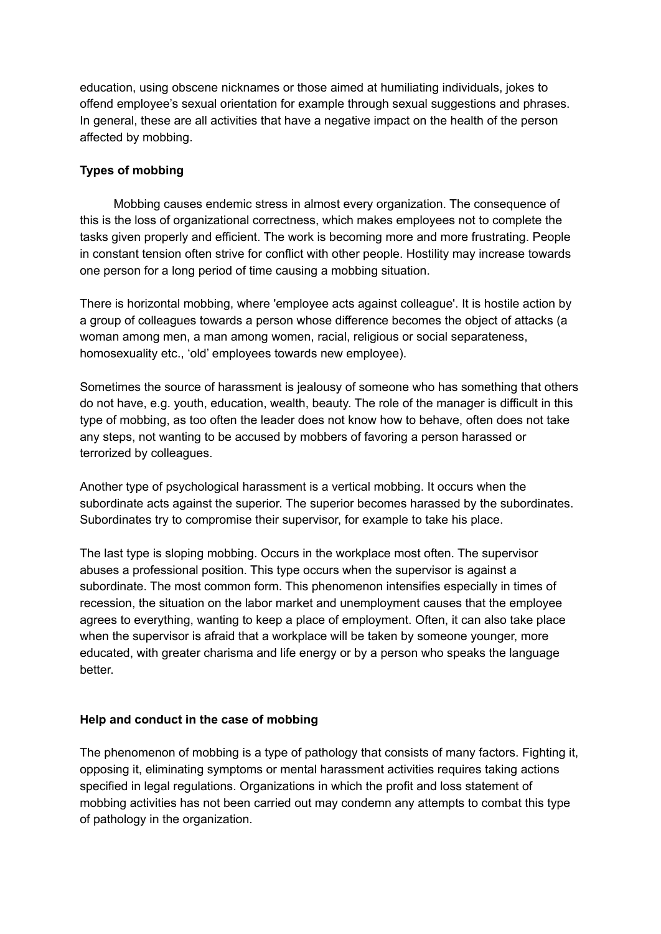education, using obscene nicknames or those aimed at humiliating individuals, jokes to offend employee's sexual orientation for example through sexual suggestions and phrases. In general, these are all activities that have a negative impact on the health of the person affected by mobbing.

# **Types of mobbing**

Mobbing causes endemic stress in almost every organization. The consequence of this is the loss of organizational correctness, which makes employees not to complete the tasks given properly and efficient. The work is becoming more and more frustrating. People in constant tension often strive for conflict with other people. Hostility may increase towards one person for a long period of time causing a mobbing situation.

There is horizontal mobbing, where 'employee acts against colleague'. It is hostile action by a group of colleagues towards a person whose difference becomes the object of attacks (a woman among men, a man among women, racial, religious or social separateness, homosexuality etc., 'old' employees towards new employee).

Sometimes the source of harassment is jealousy of someone who has something that others do not have, e.g. youth, education, wealth, beauty. The role of the manager is difficult in this type of mobbing, as too often the leader does not know how to behave, often does not take any steps, not wanting to be accused by mobbers of favoring a person harassed or terrorized by colleagues.

Another type of psychological harassment is a vertical mobbing. It occurs when the subordinate acts against the superior. The superior becomes harassed by the subordinates. Subordinates try to compromise their supervisor, for example to take his place.

The last type is sloping mobbing. Occurs in the workplace most often. The supervisor abuses a professional position. This type occurs when the supervisor is against a subordinate. The most common form. This phenomenon intensifies especially in times of recession, the situation on the labor market and unemployment causes that the employee agrees to everything, wanting to keep a place of employment. Often, it can also take place when the supervisor is afraid that a workplace will be taken by someone younger, more educated, with greater charisma and life energy or by a person who speaks the language better.

## **Help and conduct in the case of mobbing**

The phenomenon of mobbing is a type of pathology that consists of many factors. Fighting it, opposing it, eliminating symptoms or mental harassment activities requires taking actions specified in legal regulations. Organizations in which the profit and loss statement of mobbing activities has not been carried out may condemn any attempts to combat this type of pathology in the organization.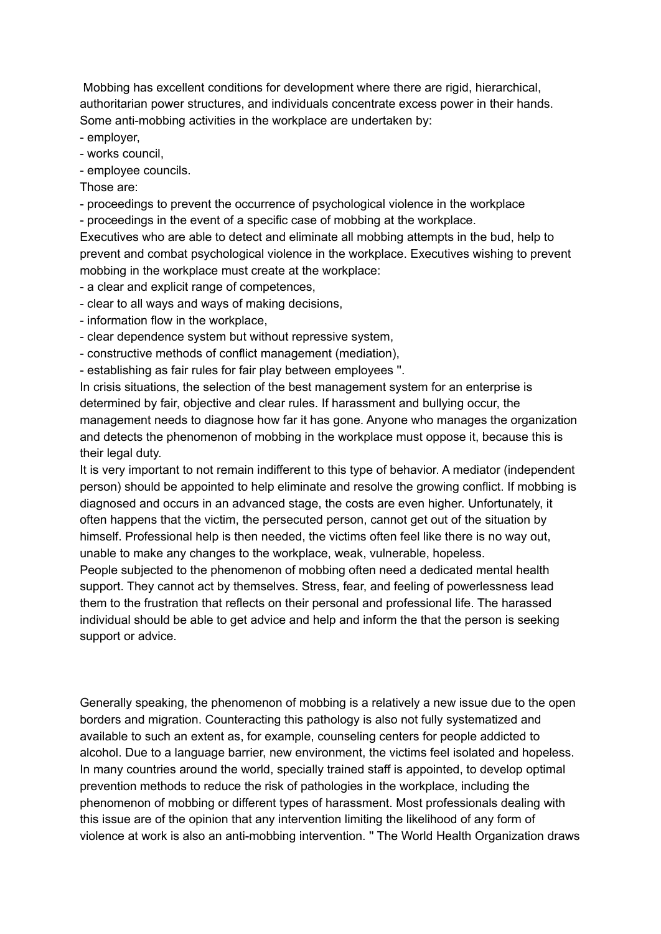Mobbing has excellent conditions for development where there are rigid, hierarchical, authoritarian power structures, and individuals concentrate excess power in their hands. Some anti-mobbing activities in the workplace are undertaken by:

- employer,

- works council,

- employee councils.

Those are:

- proceedings to prevent the occurrence of psychological violence in the workplace

- proceedings in the event of a specific case of mobbing at the workplace.

Executives who are able to detect and eliminate all mobbing attempts in the bud, help to prevent and combat psychological violence in the workplace. Executives wishing to prevent mobbing in the workplace must create at the workplace:

- a clear and explicit range of competences,

- clear to all ways and ways of making decisions,

- information flow in the workplace,

- clear dependence system but without repressive system,

- constructive methods of conflict management (mediation),

- establishing as fair rules for fair play between employees ''.

In crisis situations, the selection of the best management system for an enterprise is determined by fair, objective and clear rules. If harassment and bullying occur, the management needs to diagnose how far it has gone. Anyone who manages the organization and detects the phenomenon of mobbing in the workplace must oppose it, because this is their legal duty.

It is very important to not remain indifferent to this type of behavior. A mediator (independent person) should be appointed to help eliminate and resolve the growing conflict. If mobbing is diagnosed and occurs in an advanced stage, the costs are even higher. Unfortunately, it often happens that the victim, the persecuted person, cannot get out of the situation by himself. Professional help is then needed, the victims often feel like there is no way out, unable to make any changes to the workplace, weak, vulnerable, hopeless.

People subjected to the phenomenon of mobbing often need a dedicated mental health support. They cannot act by themselves. Stress, fear, and feeling of powerlessness lead them to the frustration that reflects on their personal and professional life. The harassed individual should be able to get advice and help and inform the that the person is seeking support or advice.

Generally speaking, the phenomenon of mobbing is a relatively a new issue due to the open borders and migration. Counteracting this pathology is also not fully systematized and available to such an extent as, for example, counseling centers for people addicted to alcohol. Due to a language barrier, new environment, the victims feel isolated and hopeless. In many countries around the world, specially trained staff is appointed, to develop optimal prevention methods to reduce the risk of pathologies in the workplace, including the phenomenon of mobbing or different types of harassment. Most professionals dealing with this issue are of the opinion that any intervention limiting the likelihood of any form of violence at work is also an anti-mobbing intervention. '' The World Health Organization draws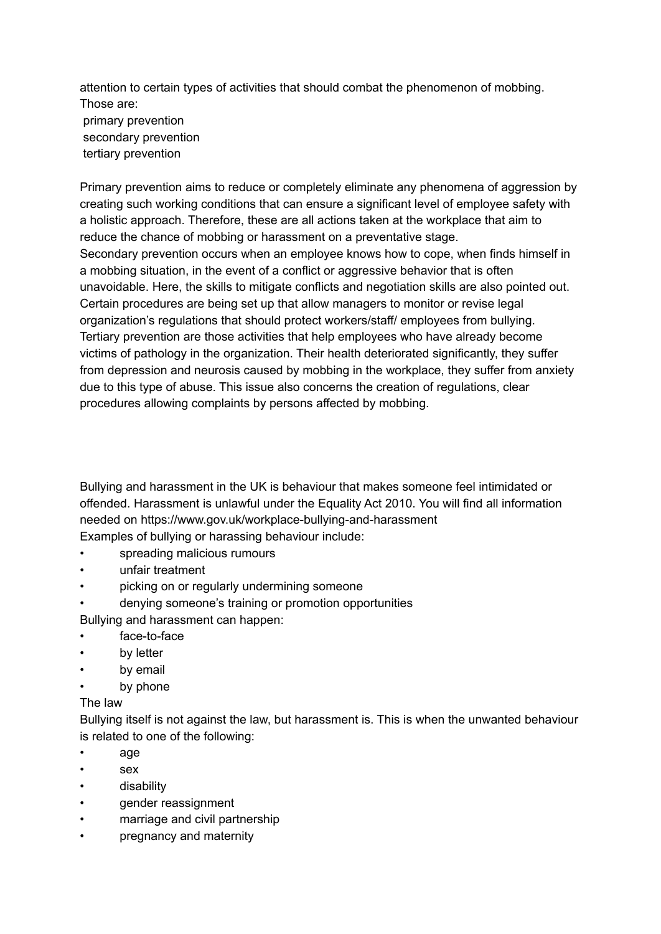attention to certain types of activities that should combat the phenomenon of mobbing. Those are: primary prevention secondary prevention tertiary prevention

Primary prevention aims to reduce or completely eliminate any phenomena of aggression by creating such working conditions that can ensure a significant level of employee safety with a holistic approach. Therefore, these are all actions taken at the workplace that aim to reduce the chance of mobbing or harassment on a preventative stage. Secondary prevention occurs when an employee knows how to cope, when finds himself in a mobbing situation, in the event of a conflict or aggressive behavior that is often unavoidable. Here, the skills to mitigate conflicts and negotiation skills are also pointed out. Certain procedures are being set up that allow managers to monitor or revise legal organization's regulations that should protect workers/staff/ employees from bullying. Tertiary prevention are those activities that help employees who have already become victims of pathology in the organization. Their health deteriorated significantly, they suffer from depression and neurosis caused by mobbing in the workplace, they suffer from anxiety due to this type of abuse. This issue also concerns the creation of regulations, clear procedures allowing complaints by persons affected by mobbing.

Bullying and harassment in the UK is behaviour that makes someone feel intimidated or offended. Harassment is unlawful under the Equality Act 2010. You will find all information needed on https://www.gov.uk/workplace-bullying-and-harassment Examples of bullying or harassing behaviour include:

- spreading malicious rumours
- unfair treatment
- picking on or regularly undermining someone
- denying someone's training or promotion opportunities

Bullying and harassment can happen:

- face-to-face
- by letter
- by email
- by phone

### The law

Bullying itself is not against the law, but harassment is. This is when the unwanted behaviour is related to one of the following:

- age
- sex
- disability
- gender reassignment
- marriage and civil partnership
- pregnancy and maternity